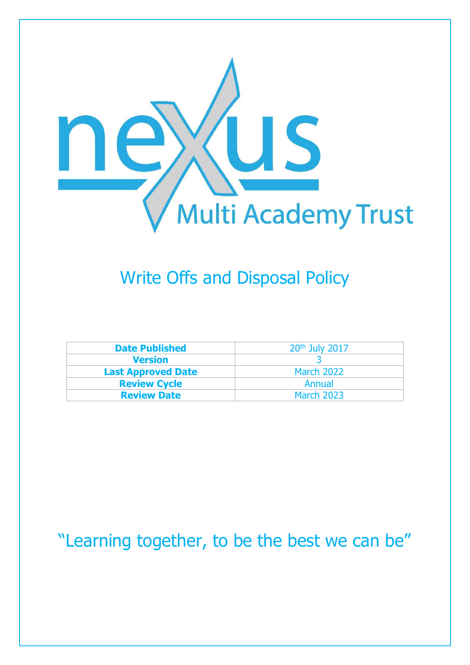

# Write Offs and Disposal Policy

| <b>Date Published</b>     | 20 <sup>th</sup> July 2017 |
|---------------------------|----------------------------|
| <b>Version</b>            |                            |
| <b>Last Approved Date</b> | <b>March 2022</b>          |
| <b>Review Cycle</b>       | Annual                     |
| <b>Review Date</b>        | <b>March 2023</b>          |

"Learning together, to be the best we can be"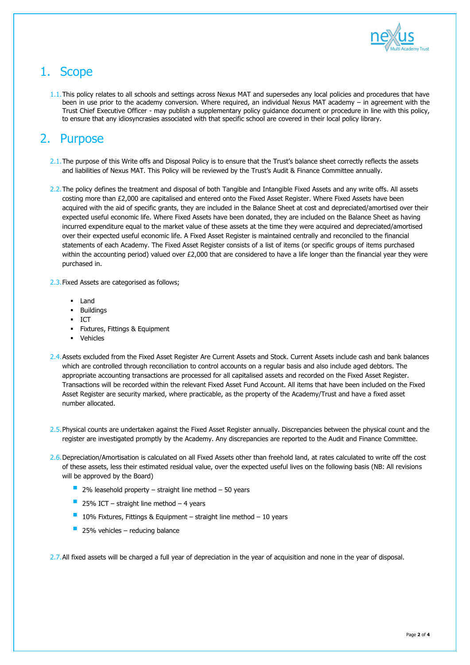

# 1. Scope

1.1. This policy relates to all schools and settings across Nexus MAT and supersedes any local policies and procedures that have been in use prior to the academy conversion. Where required, an individual Nexus MAT academy – in agreement with the Trust Chief Executive Officer - may publish a supplementary policy guidance document or procedure in line with this policy, to ensure that any idiosyncrasies associated with that specific school are covered in their local policy library.

#### 2. Purpose

- 2.1. The purpose of this Write offs and Disposal Policy is to ensure that the Trust's balance sheet correctly reflects the assets and liabilities of Nexus MAT. This Policy will be reviewed by the Trust's Audit & Finance Committee annually.
- 2.2. The policy defines the treatment and disposal of both Tangible and Intangible Fixed Assets and any write offs. All assets costing more than £2,000 are capitalised and entered onto the Fixed Asset Register. Where Fixed Assets have been acquired with the aid of specific grants, they are included in the Balance Sheet at cost and depreciated/amortised over their expected useful economic life. Where Fixed Assets have been donated, they are included on the Balance Sheet as having incurred expenditure equal to the market value of these assets at the time they were acquired and depreciated/amortised over their expected useful economic life. A Fixed Asset Register is maintained centrally and reconciled to the financial statements of each Academy. The Fixed Asset Register consists of a list of items (or specific groups of items purchased within the accounting period) valued over £2,000 that are considered to have a life longer than the financial year they were purchased in.
- 2.3.Fixed Assets are categorised as follows;
	- **Land**
	- **Buildings**
	- $\blacksquare$  ICT
	- **Fixtures, Fittings & Equipment**
	- Vehicles
- 2.4. Assets excluded from the Fixed Asset Register Are Current Assets and Stock. Current Assets include cash and bank balances which are controlled through reconciliation to control accounts on a regular basis and also include aged debtors. The appropriate accounting transactions are processed for all capitalised assets and recorded on the Fixed Asset Register. Transactions will be recorded within the relevant Fixed Asset Fund Account. All items that have been included on the Fixed Asset Register are security marked, where practicable, as the property of the Academy/Trust and have a fixed asset number allocated.
- 2.5. Physical counts are undertaken against the Fixed Asset Register annually. Discrepancies between the physical count and the register are investigated promptly by the Academy. Any discrepancies are reported to the Audit and Finance Committee.
- 2.6. Depreciation/Amortisation is calculated on all Fixed Assets other than freehold land, at rates calculated to write off the cost of these assets, less their estimated residual value, over the expected useful lives on the following basis (NB: All revisions will be approved by the Board)
	- 2% leasehold property straight line method 50 years
	-
	- 25% ICT straight line method 4 years
	- 10% Fixtures, Fittings & Equipment straight line method 10 years
	- 25% vehicles reducing balance

2.7. All fixed assets will be charged a full year of depreciation in the year of acquisition and none in the year of disposal.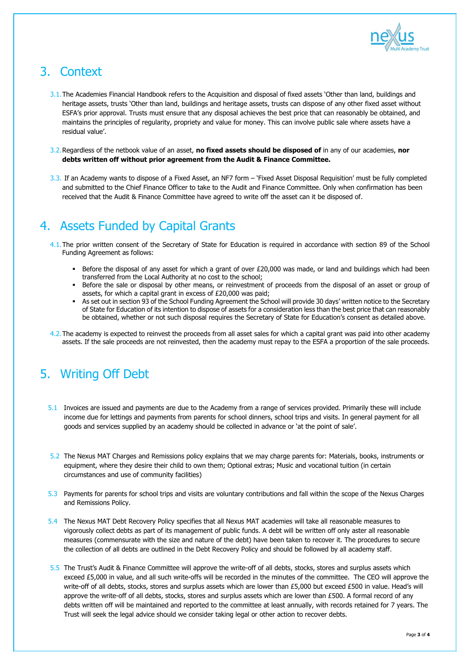

### 3. Context

- 3.1. The Academies Financial Handbook refers to the Acquisition and disposal of fixed assets 'Other than land, buildings and heritage assets, trusts 'Other than land, buildings and heritage assets, trusts can dispose of any other fixed asset without ESFA's prior approval. Trusts must ensure that any disposal achieves the best price that can reasonably be obtained, and maintains the principles of regularity, propriety and value for money. This can involve public sale where assets have a residual value'.
- 3.2.Regardless of the netbook value of an asset, **no fixed assets should be disposed of** in any of our academies, **nor debts written off without prior agreement from the Audit & Finance Committee.**
- 3.3. If an Academy wants to dispose of a Fixed Asset, an NF7 form 'Fixed Asset Disposal Requisition' must be fully completed and submitted to the Chief Finance Officer to take to the Audit and Finance Committee. Only when confirmation has been received that the Audit & Finance Committee have agreed to write off the asset can it be disposed of.

### 4. Assets Funded by Capital Grants

- 4.1. The prior written consent of the Secretary of State for Education is required in accordance with section 89 of the School Funding Agreement as follows:
	- Before the disposal of any asset for which a grant of over £20,000 was made, or land and buildings which had been transferred from the Local Authority at no cost to the school;
	- Before the sale or disposal by other means, or reinvestment of proceeds from the disposal of an asset or group of assets, for which a capital grant in excess of £20,000 was paid;
	- As set out in section 93 of the School Funding Agreement the School will provide 30 days' written notice to the Secretary of State for Education of its intention to dispose of assets for a consideration less than the best price that can reasonably be obtained, whether or not such disposal requires the Secretary of State for Education's consent as detailed above.
- 4.2. The academy is expected to reinvest the proceeds from all asset sales for which a capital grant was paid into other academy assets. If the sale proceeds are not reinvested, then the academy must repay to the ESFA a proportion of the sale proceeds.

### 5. Writing Off Debt

- 5.1 Invoices are issued and payments are due to the Academy from a range of services provided. Primarily these will include income due for lettings and payments from parents for school dinners, school trips and visits. In general payment for all goods and services supplied by an academy should be collected in advance or 'at the point of sale'.
- 5.2 The Nexus MAT Charges and Remissions policy explains that we may charge parents for: Materials, books, instruments or equipment, where they desire their child to own them; Optional extras; Music and vocational tuition (in certain circumstances and use of community facilities)
- 5.3 Payments for parents for school trips and visits are voluntary contributions and fall within the scope of the Nexus Charges
	- and Remissions Policy.
- 5.4 The Nexus MAT Debt Recovery Policy specifies that all Nexus MAT academies will take all reasonable measures to vigorously collect debts as part of its management of public funds. A debt will be written off only aster all reasonable measures (commensurate with the size and nature of the debt) have been taken to recover it. The procedures to secure the collection of all debts are outlined in the Debt Recovery Policy and should be followed by all academy staff.
- 5.5 The Trust's Audit & Finance Committee will approve the write-off of all debts, stocks, stores and surplus assets which exceed £5,000 in value, and all such write-offs will be recorded in the minutes of the committee. The CEO will approve the write-off of all debts, stocks, stores and surplus assets which are lower than £5,000 but exceed £500 in value. Head's will approve the write-off of all debts, stocks, stores and surplus assets which are lower than £500. A formal record of any debts written off will be maintained and reported to the committee at least annually, with records retained for 7 years. The Trust will seek the legal advice should we consider taking legal or other action to recover debts.